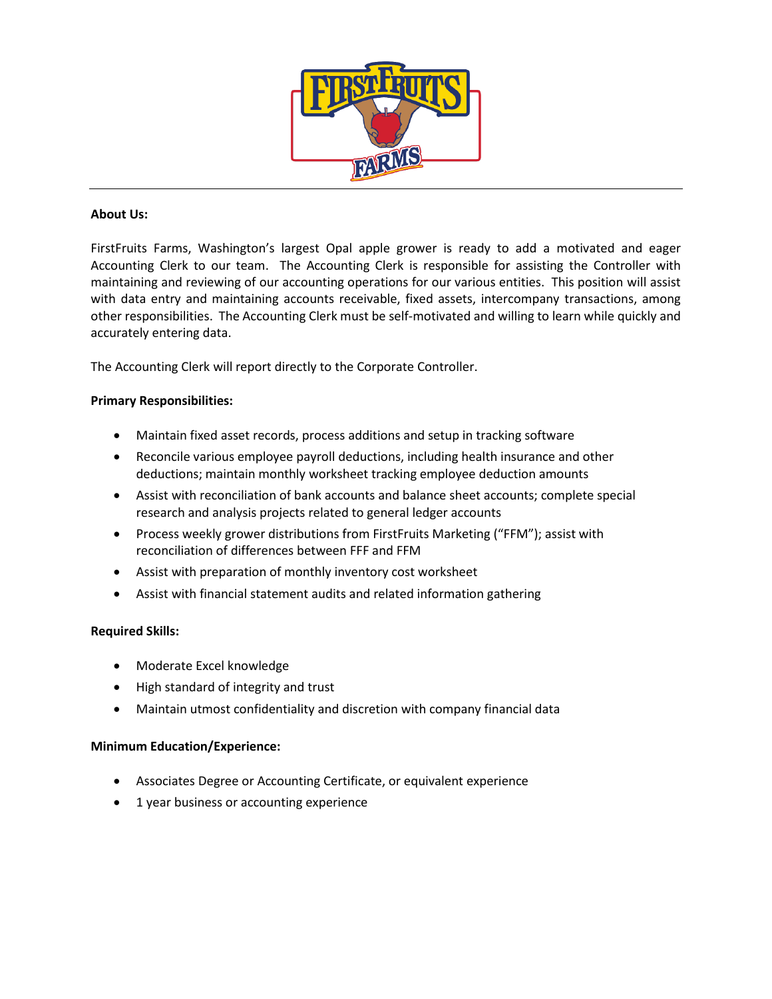

# **About Us:**

FirstFruits Farms, Washington's largest Opal apple grower is ready to add a motivated and eager Accounting Clerk to our team. The Accounting Clerk is responsible for assisting the Controller with maintaining and reviewing of our accounting operations for our various entities. This position will assist with data entry and maintaining accounts receivable, fixed assets, intercompany transactions, among other responsibilities. The Accounting Clerk must be self-motivated and willing to learn while quickly and accurately entering data.

The Accounting Clerk will report directly to the Corporate Controller.

## **Primary Responsibilities:**

- Maintain fixed asset records, process additions and setup in tracking software
- Reconcile various employee payroll deductions, including health insurance and other deductions; maintain monthly worksheet tracking employee deduction amounts
- Assist with reconciliation of bank accounts and balance sheet accounts; complete special research and analysis projects related to general ledger accounts
- Process weekly grower distributions from FirstFruits Marketing ("FFM"); assist with reconciliation of differences between FFF and FFM
- Assist with preparation of monthly inventory cost worksheet
- Assist with financial statement audits and related information gathering

## **Required Skills:**

- Moderate Excel knowledge
- High standard of integrity and trust
- Maintain utmost confidentiality and discretion with company financial data

## **Minimum Education/Experience:**

- Associates Degree or Accounting Certificate, or equivalent experience
- 1 year business or accounting experience